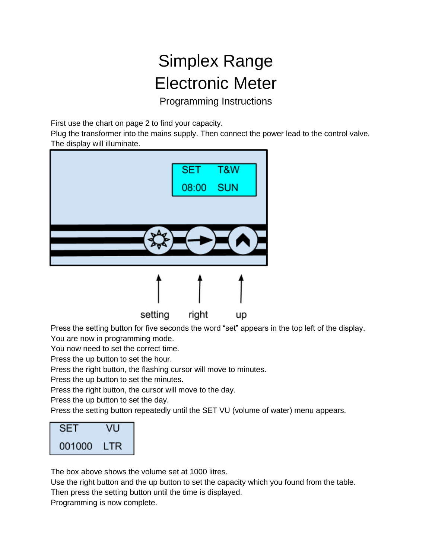## Simplex Range Electronic Meter

Programming Instructions

First use the chart on page 2 to find your capacity.

Plug the transformer into the mains supply. Then connect the power lead to the control valve. The display will illuminate.



Press the setting button for five seconds the word "set" appears in the top left of the display.

You are now in programming mode.

You now need to set the correct time.

Press the up button to set the hour.

Press the right button, the flashing cursor will move to minutes.

Press the up button to set the minutes.

Press the right button, the cursor will move to the day.

Press the up button to set the day.

Press the setting button repeatedly until the SET VU (volume of water) menu appears.

| SET    | VU         |
|--------|------------|
| 001000 | <b>LTR</b> |

The box above shows the volume set at 1000 litres.

Use the right button and the up button to set the capacity which you found from the table.

Then press the setting button until the time is displayed.

Programming is now complete.